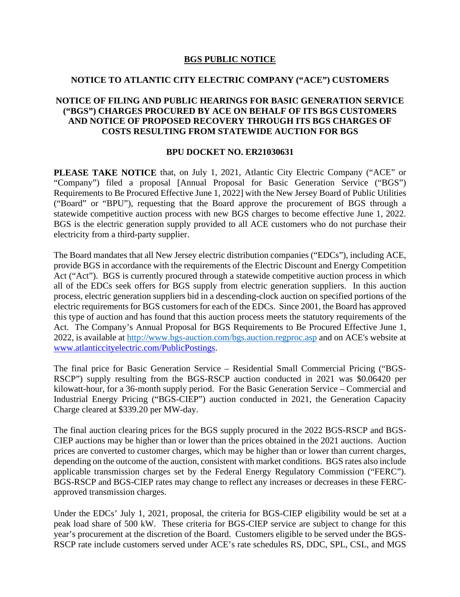## **BGS PUBLIC NOTICE**

## **NOTICE TO ATLANTIC CITY ELECTRIC COMPANY ("ACE") CUSTOMERS**

## **NOTICE OF FILING AND PUBLIC HEARINGS FOR BASIC GENERATION SERVICE ("BGS") CHARGES PROCURED BY ACE ON BEHALF OF ITS BGS CUSTOMERS AND NOTICE OF PROPOSED RECOVERY THROUGH ITS BGS CHARGES OF COSTS RESULTING FROM STATEWIDE AUCTION FOR BGS**

## **BPU DOCKET NO. ER21030631**

**PLEASE TAKE NOTICE** that, on July 1, 2021, Atlantic City Electric Company ("ACE" or "Company") filed a proposal [Annual Proposal for Basic Generation Service ("BGS") Requirements to Be Procured Effective June 1, 2022] with the New Jersey Board of Public Utilities ("Board" or "BPU"), requesting that the Board approve the procurement of BGS through a statewide competitive auction process with new BGS charges to become effective June 1, 2022. BGS is the electric generation supply provided to all ACE customers who do not purchase their electricity from a third-party supplier.

The Board mandates that all New Jersey electric distribution companies ("EDCs"), including ACE, provide BGS in accordance with the requirements of the Electric Discount and Energy Competition Act ("Act"). BGS is currently procured through a statewide competitive auction process in which all of the EDCs seek offers for BGS supply from electric generation suppliers. In this auction process, electric generation suppliers bid in a descending-clock auction on specified portions of the electric requirements for BGS customers for each of the EDCs. Since 2001, the Board has approved this type of auction and has found that this auction process meets the statutory requirements of the Act. The Company's Annual Proposal for BGS Requirements to Be Procured Effective June 1, 2022, is available at<http://www.bgs-auction.com/bgs.auction.regproc.asp> and on ACE's website at [www.atlanticcityelectric.com/PublicPostings.](http://www.atlanticcityelectric.com/PublicPostings)

The final price for Basic Generation Service – Residential Small Commercial Pricing ("BGS-RSCP") supply resulting from the BGS-RSCP auction conducted in 2021 was \$0.06420 per kilowatt-hour, for a 36-month supply period. For the Basic Generation Service – Commercial and Industrial Energy Pricing ("BGS-CIEP") auction conducted in 2021, the Generation Capacity Charge cleared at \$339.20 per MW-day.

The final auction clearing prices for the BGS supply procured in the 2022 BGS-RSCP and BGS-CIEP auctions may be higher than or lower than the prices obtained in the 2021 auctions. Auction prices are converted to customer charges, which may be higher than or lower than current charges, depending on the outcome of the auction, consistent with market conditions. BGS rates also include applicable transmission charges set by the Federal Energy Regulatory Commission ("FERC"). BGS-RSCP and BGS-CIEP rates may change to reflect any increases or decreases in these FERCapproved transmission charges.

Under the EDCs' July 1, 2021, proposal, the criteria for BGS-CIEP eligibility would be set at a peak load share of 500 kW. These criteria for BGS-CIEP service are subject to change for this year's procurement at the discretion of the Board. Customers eligible to be served under the BGS-RSCP rate include customers served under ACE's rate schedules RS, DDC, SPL, CSL, and MGS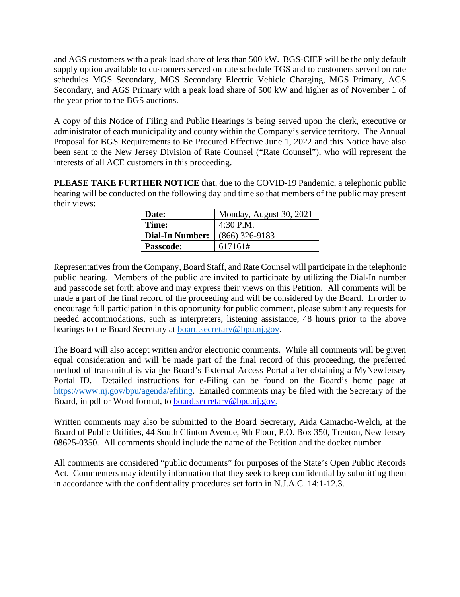and AGS customers with a peak load share of less than 500 kW. BGS-CIEP will be the only default supply option available to customers served on rate schedule TGS and to customers served on rate schedules MGS Secondary, MGS Secondary Electric Vehicle Charging, MGS Primary, AGS Secondary, and AGS Primary with a peak load share of 500 kW and higher as of November 1 of the year prior to the BGS auctions.

A copy of this Notice of Filing and Public Hearings is being served upon the clerk, executive or administrator of each municipality and county within the Company's service territory. The Annual Proposal for BGS Requirements to Be Procured Effective June 1, 2022 and this Notice have also been sent to the New Jersey Division of Rate Counsel ("Rate Counsel"), who will represent the interests of all ACE customers in this proceeding.

**PLEASE TAKE FURTHER NOTICE** that, due to the COVID-19 Pandemic, a telephonic public hearing will be conducted on the following day and time so that members of the public may present their views:

| Date:                  | Monday, August 30, 2021 |
|------------------------|-------------------------|
| Time:                  | $4:30$ P.M.             |
| <b>Dial-In Number:</b> | $(866)$ 326-9183        |
| <b>Passcode:</b>       | 617161#                 |

Representatives from the Company, Board Staff, and Rate Counsel will participate in the telephonic public hearing. Members of the public are invited to participate by utilizing the Dial-In number and passcode set forth above and may express their views on this Petition. All comments will be made a part of the final record of the proceeding and will be considered by the Board. In order to encourage full participation in this opportunity for public comment, please submit any requests for needed accommodations, such as interpreters, listening assistance, 48 hours prior to the above hearings to the Board Secretary at [board.secretary@bpu.nj.gov.](about:blank)

The Board will also accept written and/or electronic comments. While all comments will be given equal consideration and will be made part of the final record of this proceeding, the preferred method of transmittal is via the Board's External Access Portal after obtaining a MyNewJersey Portal ID. Detailed instructions for e-Filing can be found on the Board's home page at [https://www.nj.gov/bpu/agenda/efiling.](https://www.nj.gov/bpu/agenda/efiling) Emailed comments may be filed with the Secretary of the Board, in pdf or Word format, to [board.secretary@bpu.nj.gov.](about:blank)

Written comments may also be submitted to the Board Secretary, Aida Camacho-Welch, at the Board of Public Utilities, 44 South Clinton Avenue, 9th Floor, P.O. Box 350, Trenton, New Jersey 08625-0350. All comments should include the name of the Petition and the docket number.

All comments are considered "public documents" for purposes of the State's Open Public Records Act. Commenters may identify information that they seek to keep confidential by submitting them in accordance with the confidentiality procedures set forth in N.J.A.C. 14:1-12.3.